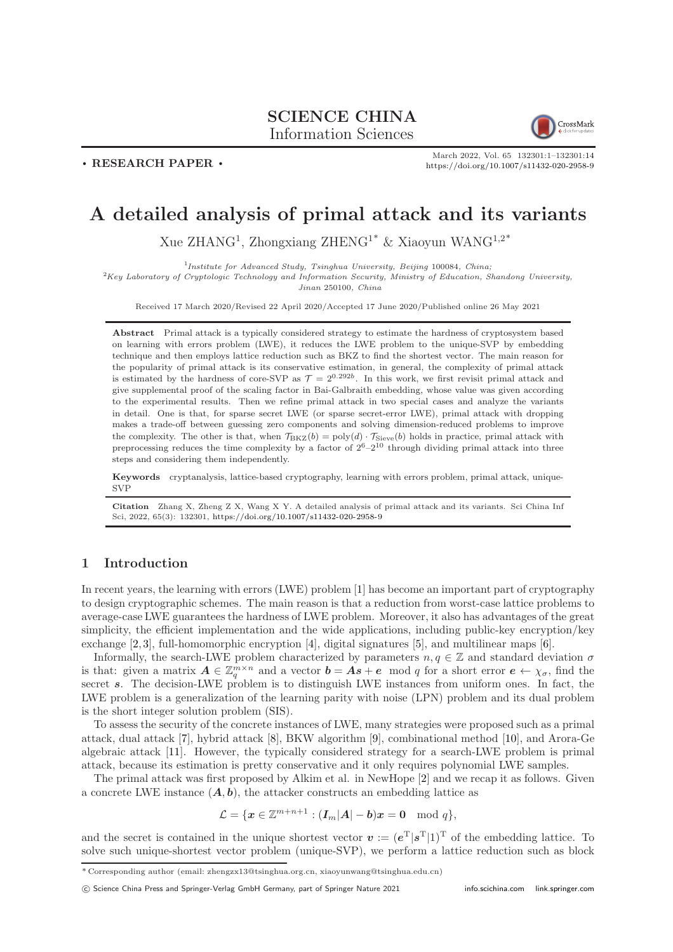# SCIENCE CHINA Information Sciences



. RESEARCH PAPER .

March 2022, Vol. 65 132301:1–132301[:14](#page-13-0) <https://doi.org/10.1007/s11432-020-2958-9>

# A detailed analysis of primal attack and its variants

Xue ZHANG<sup>1</sup>, Zhongxiang ZHENG<sup>1\*</sup> & Xiaoyun WANG<sup>1,2\*</sup>

<sup>1</sup>Institute for Advanced Study, Tsinghua University, Beijing 100084, China;

 ${}^{2}$ Key Laboratory of Cryptologic Technology and Information Security, Ministry of Education, Shandong University, Jinan 250100, China

Received 17 March 2020/Revised 22 April 2020/Accepted 17 June 2020/Published online 26 May 2021

Abstract Primal attack is a typically considered strategy to estimate the hardness of cryptosystem based on learning with errors problem (LWE), it reduces the LWE problem to the unique-SVP by embedding technique and then employs lattice reduction such as BKZ to find the shortest vector. The main reason for the popularity of primal attack is its conservative estimation, in general, the complexity of primal attack is estimated by the hardness of core-SVP as  $\mathcal{T} = 2^{0.292b}$ . In this work, we first revisit primal attack and give supplemental proof of the scaling factor in Bai-Galbraith embedding, whose value was given according to the experimental results. Then we refine primal attack in two special cases and analyze the variants in detail. One is that, for sparse secret LWE (or sparse secret-error LWE), primal attack with dropping makes a trade-off between guessing zero components and solving dimension-reduced problems to improve the complexity. The other is that, when  $\mathcal{T}_{BKZ}(b) = poly(d) \cdot \mathcal{T}_{Sieve}(b)$  holds in practice, primal attack with preprocessing reduces the time complexity by a factor of  $2^6-2^{10}$  through dividing primal attack into three steps and considering them independently.

Keywords cryptanalysis, lattice-based cryptography, learning with errors problem, primal attack, unique-SVP

Citation Zhang X, Zheng Z X, Wang X Y. A detailed analysis of primal attack and its variants. Sci China Inf Sci, 2022, 65(3): 132301, <https://doi.org/10.1007/s11432-020-2958-9>

## 1 Introduction

In recent years, the learning with errors (LWE) problem [\[1\]](#page-12-0) has become an important part of cryptography to design cryptographic schemes. The main reason is that a reduction from worst-case lattice problems to average-case LWE guarantees the hardness of LWE problem. Moreover, it also has advantages of the great simplicity, the efficient implementation and the wide applications, including public-key encryption/key exchange [\[2,](#page-12-1) [3\]](#page-12-2), full-homomorphic encryption [\[4\]](#page-12-3), digital signatures [\[5\]](#page-12-4), and multilinear maps [\[6\]](#page-12-5).

Informally, the search-LWE problem characterized by parameters  $n, q \in \mathbb{Z}$  and standard deviation  $\sigma$ is that: given a matrix  $A \in \mathbb{Z}_q^{m \times n}$  and a vector  $b = As + e \mod q$  for a short error  $e \leftarrow \chi_{\sigma}$ , find the secret s. The decision-LWE problem is to distinguish LWE instances from uniform ones. In fact, the LWE problem is a generalization of the learning parity with noise (LPN) problem and its dual problem is the short integer solution problem (SIS).

To assess the security of the concrete instances of LWE, many strategies were proposed such as a primal attack, dual attack [\[7\]](#page-12-6), hybrid attack [\[8\]](#page-12-7), BKW algorithm [\[9\]](#page-12-8), combinational method [\[10\]](#page-12-9), and Arora-Ge algebraic attack [\[11\]](#page-12-10). However, the typically considered strategy for a search-LWE problem is primal attack, because its estimation is pretty conservative and it only requires polynomial LWE samples.

The primal attack was first proposed by Alkim et al. in NewHope [\[2\]](#page-12-1) and we recap it as follows. Given a concrete LWE instance  $(A, b)$ , the attacker constructs an embedding lattice as

$$
\mathcal{L} = \{ \boldsymbol{x} \in \mathbb{Z}^{m+n+1} : (\boldsymbol{I}_m|\boldsymbol{A}| - \boldsymbol{b})\boldsymbol{x} = \boldsymbol{0} \mod q \},
$$

and the secret is contained in the unique shortest vector  $v := (e^T | s^T | 1)^T$  of the embedding lattice. To solve such unique-shortest vector problem (unique-SVP), we perform a lattice reduction such as block

<sup>\*</sup> Corresponding author (email: zhengzx13@tsinghua.org.cn, xiaoyunwang@tsinghua.edu.cn)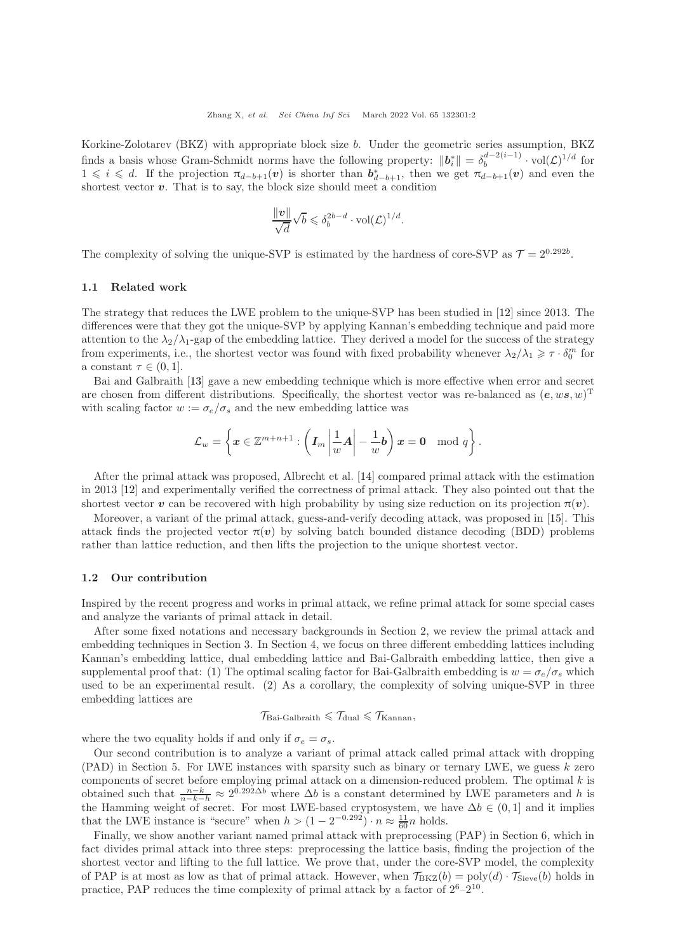Korkine-Zolotarev (BKZ) with appropriate block size b. Under the geometric series assumption, BKZ finds a basis whose Gram-Schmidt norms have the following property:  $||\boldsymbol{b}_i^*|| = \delta_b^{d-2(i-1)} \cdot \text{vol}(\mathcal{L})^{1/d}$  for  $1 \leq i \leq d$ . If the projection  $\pi_{d-b+1}(v)$  is shorter than  $b_{d-b+1}^*$ , then we get  $\pi_{d-b+1}(v)$  and even the shortest vector  $v$ . That is to say, the block size should meet a condition

$$
\frac{\|\mathbf{v}\|}{\sqrt{d}}\sqrt{b} \leq \delta_b^{2b-d} \cdot \text{vol}(\mathcal{L})^{1/d}.
$$

The complexity of solving the unique-SVP is estimated by the hardness of core-SVP as  $\mathcal{T} = 2^{0.292b}$ .

#### 1.1 Related work

The strategy that reduces the LWE problem to the unique-SVP has been studied in [\[12\]](#page-13-1) since 2013. The differences were that they got the unique-SVP by applying Kannan's embedding technique and paid more attention to the  $\lambda_2/\lambda_1$ -gap of the embedding lattice. They derived a model for the success of the strategy from experiments, i.e., the shortest vector was found with fixed probability whenever  $\lambda_2/\lambda_1 \geq \tau \cdot \delta_0^m$  for a constant  $\tau \in (0,1]$ .

Bai and Galbraith [\[13\]](#page-13-2) gave a new embedding technique which is more effective when error and secret are chosen from different distributions. Specifically, the shortest vector was re-balanced as  $(e, ws, w)^T$ with scaling factor  $w := \sigma_e/\sigma_s$  and the new embedding lattice was

$$
\mathcal{L}_w = \left\{ \boldsymbol{x} \in \mathbb{Z}^{m+n+1} : \left( \boldsymbol{I}_m \left| \frac{1}{w} \boldsymbol{A} \right| - \frac{1}{w} \boldsymbol{b} \right) \boldsymbol{x} = \boldsymbol{0} \mod q \right\}.
$$

After the primal attack was proposed, Albrecht et al. [\[14\]](#page-13-3) compared primal attack with the estimation in 2013 [\[12\]](#page-13-1) and experimentally verified the correctness of primal attack. They also pointed out that the shortest vector v can be recovered with high probability by using size reduction on its projection  $\pi(v)$ .

Moreover, a variant of the primal attack, guess-and-verify decoding attack, was proposed in [\[15\]](#page-13-4). This attack finds the projected vector  $\pi(v)$  by solving batch bounded distance decoding (BDD) problems rather than lattice reduction, and then lifts the projection to the unique shortest vector.

### 1.2 Our contribution

Inspired by the recent progress and works in primal attack, we refine primal attack for some special cases and analyze the variants of primal attack in detail.

After some fixed notations and necessary backgrounds in Section 2, we review the primal attack and embedding techniques in Section 3. In Section 4, we focus on three different embedding lattices including Kannan's embedding lattice, dual embedding lattice and Bai-Galbraith embedding lattice, then give a supplemental proof that: (1) The optimal scaling factor for Bai-Galbraith embedding is  $w = \sigma_e/\sigma_s$  which used to be an experimental result. (2) As a corollary, the complexity of solving unique-SVP in three embedding lattices are

$$
\mathcal{T}_{\rm Bai\text{-}Galbraith} \leqslant \mathcal{T}_{\rm dual} \leqslant \mathcal{T}_{\rm Kannan},
$$

where the two equality holds if and only if  $\sigma_e = \sigma_s$ .

Our second contribution is to analyze a variant of primal attack called primal attack with dropping  $(PAD)$  in Section 5. For LWE instances with sparsity such as binary or ternary LWE, we guess k zero components of secret before employing primal attack on a dimension-reduced problem. The optimal  $k$  is obtained such that  $\frac{n-k}{n-k-h} \approx 2^{0.292\Delta b}$  where  $\Delta b$  is a constant determined by LWE parameters and h is the Hamming weight of secret. For most LWE-based cryptosystem, we have  $\Delta b \in (0,1]$  and it implies that the LWE instance is "secure" when  $h > (1 - 2^{-0.292}) \cdot n \approx \frac{11}{60} n$  holds.

Finally, we show another variant named primal attack with preprocessing (PAP) in Section 6, which in fact divides primal attack into three steps: preprocessing the lattice basis, finding the projection of the shortest vector and lifting to the full lattice. We prove that, under the core-SVP model, the complexity of PAP is at most as low as that of primal attack. However, when  $\mathcal{T}_{BKZ}(b) = \text{poly}(d) \cdot \mathcal{T}_{Sieve}(b)$  holds in practice, PAP reduces the time complexity of primal attack by a factor of  $2^6-2^{10}$ .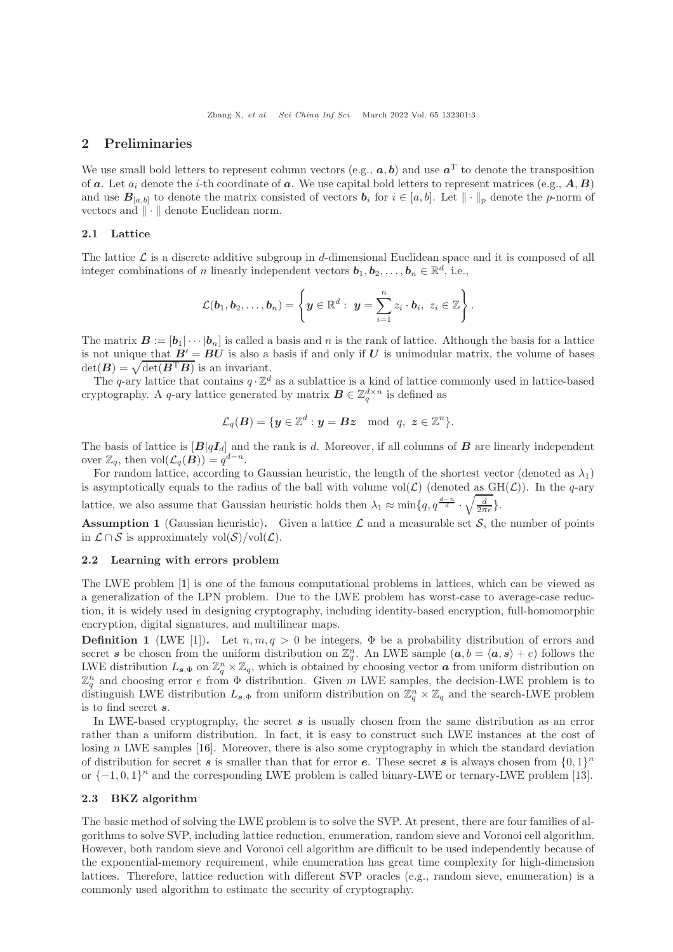## 2 Preliminaries

We use small bold letters to represent column vectors (e.g.,  $a, b$ ) and use  $a<sup>T</sup>$  to denote the transposition of a. Let  $a_i$  denote the *i*-th coordinate of a. We use capital bold letters to represent matrices (e.g.,  $A, B$ ) and use  $B_{[a,b]}$  to denote the matrix consisted of vectors  $b_i$  for  $i \in [a,b]$ . Let  $\|\cdot\|_p$  denote the p-norm of vectors and  $\|\cdot\|$  denote Euclidean norm.

## 2.1 Lattice

The lattice  $\mathcal L$  is a discrete additive subgroup in d-dimensional Euclidean space and it is composed of all integer combinations of n linearly independent vectors  $\mathbf{b}_1, \mathbf{b}_2, \ldots, \mathbf{b}_n \in \mathbb{R}^d$ , i.e.,

$$
\mathcal{L}(\boldsymbol{b}_1,\boldsymbol{b}_2,\ldots,\boldsymbol{b}_n)=\left\{\boldsymbol{y}\in\mathbb{R}^d:~\boldsymbol{y}=\sum_{i=1}^nz_i\cdot\boldsymbol{b}_i,~z_i\in\mathbb{Z}\right\}.
$$

The matrix  $\mathbf{B} := [\mathbf{b}_1 | \cdots | \mathbf{b}_n]$  is called a basis and n is the rank of lattice. Although the basis for a lattice is not unique that  $B' = BU$  is also a basis if and only if U is unimodular matrix, the volume of bases  $\det(\boldsymbol{B}) = \sqrt{\det(\boldsymbol{B}^{\mathrm{T}}\boldsymbol{B})}$  is an invariant.

The q-ary lattice that contains  $q \cdot \mathbb{Z}^d$  as a sublattice is a kind of lattice commonly used in lattice-based cryptography. A q-ary lattice generated by matrix  $\mathbf{B} \in \mathbb{Z}_q^{d \times n}$  is defined as

$$
\mathcal{L}_q(\boldsymbol{B}) = \{ \boldsymbol{y} \in \mathbb{Z}^d : \boldsymbol{y} = \boldsymbol{B} \boldsymbol{z} \mod q, \ \boldsymbol{z} \in \mathbb{Z}^n \}.
$$

The basis of lattice is  $[B|qI_d]$  and the rank is d. Moreover, if all columns of **B** are linearly independent over  $\mathbb{Z}_q$ , then  $\text{vol}(\mathcal{L}_q(\mathbf{B})) = q^{d-n}$ .

For random lattice, according to Gaussian heuristic, the length of the shortest vector (denoted as  $\lambda_1$ ) is asymptotically equals to the radius of the ball with volume vol( $\mathcal{L}$ ) (denoted as GH( $\mathcal{L}$ )). In the q-ary lattice, we also assume that Gaussian heuristic holds then  $\lambda_1 \approx \min\{q, q^{\frac{d-n}{d}}\}$ .  $\sqrt{\frac{d}{2\pi e}}$ .

**Assumption 1** (Gaussian heuristic). Given a lattice  $\mathcal{L}$  and a measurable set  $\mathcal{S}$ , the number of points in  $\mathcal{L} \cap \mathcal{S}$  is approximately vol $(\mathcal{S})$ /vol $(\mathcal{L})$ .

#### 2.2 Learning with errors problem

The LWE problem [\[1\]](#page-12-0) is one of the famous computational problems in lattices, which can be viewed as a generalization of the LPN problem. Due to the LWE problem has worst-case to average-case reduction, it is widely used in designing cryptography, including identity-based encryption, full-homomorphic encryption, digital signatures, and multilinear maps.

**Definition 1** (LWE [\[1\]](#page-12-0)). Let  $n, m, q > 0$  be integers,  $\Phi$  be a probability distribution of errors and secret s be chosen from the uniform distribution on  $\mathbb{Z}_q^n$ . An LWE sample  $(a, b = \langle a, s \rangle + e)$  follows the LWE distribution  $L_{s,\Phi}$  on  $\mathbb{Z}_q^n \times \mathbb{Z}_q$ , which is obtained by choosing vector **a** from uniform distribution on  $\mathbb{Z}_q^n$  and choosing error e from  $\Phi$  distribution. Given m LWE samples, the decision-LWE problem is to distinguish LWE distribution  $L_{s,\Phi}$  from uniform distribution on  $\mathbb{Z}_q^n \times \mathbb{Z}_q$  and the search-LWE problem is to find secret s.

In LWE-based cryptography, the secret  $s$  is usually chosen from the same distribution as an error rather than a uniform distribution. In fact, it is easy to construct such LWE instances at the cost of losing n LWE samples [\[16\]](#page-13-5). Moreover, there is also some cryptography in which the standard deviation of distribution for secret s is smaller than that for error e. These secret s is always chosen from  $\{0,1\}^n$ or  $\{-1,0,1\}$ <sup>n</sup> and the corresponding LWE problem is called binary-LWE or ternary-LWE problem [\[13\]](#page-13-2).

## 2.3 BKZ algorithm

The basic method of solving the LWE problem is to solve the SVP. At present, there are four families of algorithms to solve SVP, including lattice reduction, enumeration, random sieve and Voronoi cell algorithm. However, both random sieve and Voronoi cell algorithm are difficult to be used independently because of the exponential-memory requirement, while enumeration has great time complexity for high-dimension lattices. Therefore, lattice reduction with different SVP oracles (e.g., random sieve, enumeration) is a commonly used algorithm to estimate the security of cryptography.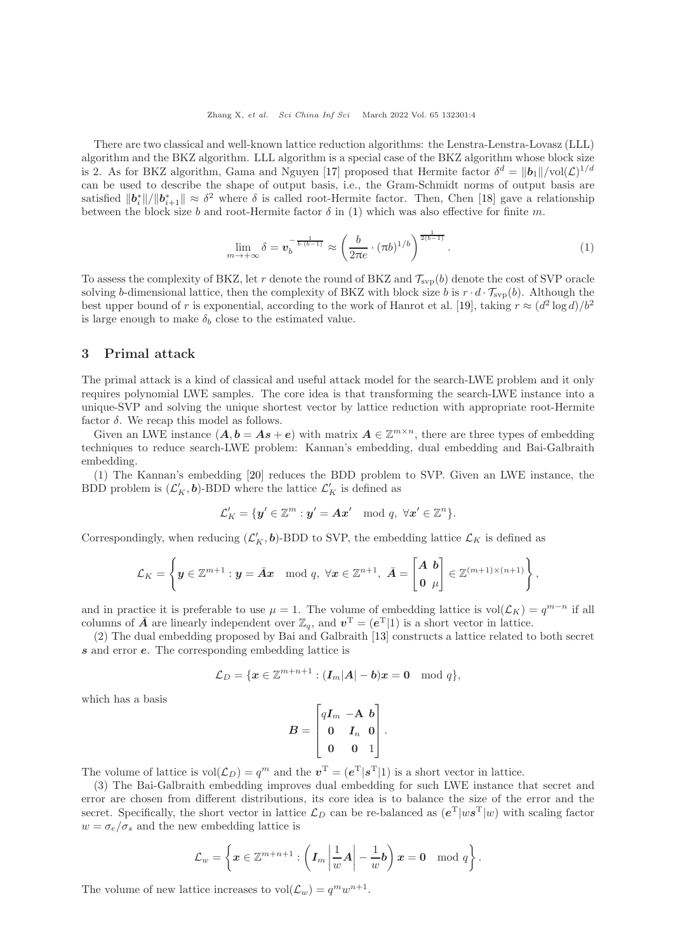Zhang X, et al. Sci China Inf Sci March 2022 Vol. 65 132301:4

There are two classical and well-known lattice reduction algorithms: the Lenstra-Lenstra-Lovasz (LLL) algorithm and the BKZ algorithm. LLL algorithm is a special case of the BKZ algorithm whose block size is 2. As for BKZ algorithm, Gama and Nguyen [\[17\]](#page-13-6) proposed that Hermite factor  $\delta^d = ||\boldsymbol{b}_1|| / \text{vol}(\mathcal{L})^{1/d}$ can be used to describe the shape of output basis, i.e., the Gram-Schmidt norms of output basis are satisfied  $||\boldsymbol{b}_i^*||/||\boldsymbol{b}_{i+1}^*|| \approx \delta^2$  where  $\delta$  is called root-Hermite factor. Then, Chen [\[18\]](#page-13-7) gave a relationship between the block size b and root-Hermite factor  $\delta$  in [\(1\)](#page-3-0) which was also effective for finite m.

<span id="page-3-0"></span>
$$
\lim_{m \to +\infty} \delta = \boldsymbol{v}_b^{-\frac{1}{b \cdot (b-1)}} \approx \left(\frac{b}{2\pi e} \cdot (\pi b)^{1/b}\right)^{\frac{1}{2(b-1)}}.
$$
\n
$$
(1)
$$

To assess the complexity of BKZ, let r denote the round of BKZ and  $\mathcal{T}_{\text{svp}}(b)$  denote the cost of SVP oracle solving b-dimensional lattice, then the complexity of BKZ with block size b is  $r \cdot d \cdot \mathcal{T}_{\text{sup}}(b)$ . Although the best upper bound of r is exponential, according to the work of Hanrot et al. [\[19\]](#page-13-8), taking  $r \approx (d^2 \log d)/b^2$ is large enough to make  $\delta_b$  close to the estimated value.

## 3 Primal attack

The primal attack is a kind of classical and useful attack model for the search-LWE problem and it only requires polynomial LWE samples. The core idea is that transforming the search-LWE instance into a unique-SVP and solving the unique shortest vector by lattice reduction with appropriate root-Hermite factor  $\delta$ . We recap this model as follows.

Given an LWE instance  $(A, b = As + e)$  with matrix  $A \in \mathbb{Z}^{m \times n}$ , there are three types of embedding techniques to reduce search-LWE problem: Kannan's embedding, dual embedding and Bai-Galbraith embedding.

(1) The Kannan's embedding [\[20\]](#page-13-9) reduces the BDD problem to SVP. Given an LWE instance, the BDD problem is  $(\mathcal{L}'_K, \mathbf{b})$ -BDD where the lattice  $\mathcal{L}'_K$  is defined as

$$
\mathcal{L}'_K=\{\bm{y}'\in\mathbb{Z}^m:\bm{y}'=\bm{A}\bm{x}'\mod q,\;\forall \bm{x}'\in\mathbb{Z}^n\}.
$$

Correspondingly, when reducing  $(\mathcal{L}'_K, \mathbf{b})$ -BDD to SVP, the embedding lattice  $\mathcal{L}_K$  is defined as

$$
\mathcal{L}_K = \left\{ \boldsymbol{y} \in \mathbb{Z}^{m+1} : \boldsymbol{y} = \bar{\boldsymbol{A}} \boldsymbol{x} \mod q, \ \forall \boldsymbol{x} \in \mathbb{Z}^{n+1}, \ \bar{\boldsymbol{A}} = \begin{bmatrix} \boldsymbol{A} & \boldsymbol{b} \\ \boldsymbol{0} & \mu \end{bmatrix} \in \mathbb{Z}^{(m+1)\times (n+1)} \right\},
$$

and in practice it is preferable to use  $\mu = 1$ . The volume of embedding lattice is vol $(\mathcal{L}_K) = q^{m-n}$  if all columns of  $\overline{A}$  are linearly independent over  $\mathbb{Z}_q$ , and  $v^T = (e^T | 1)$  is a short vector in lattice.

(2) The dual embedding proposed by Bai and Galbraith [\[13\]](#page-13-2) constructs a lattice related to both secret s and error e. The corresponding embedding lattice is

$$
\mathcal{L}_D = \{ \boldsymbol{x} \in \mathbb{Z}^{m+n+1} : (\boldsymbol{I}_m|\boldsymbol{A}| - \boldsymbol{b})\boldsymbol{x} = \boldsymbol{0} \mod q \},
$$

which has a basis

$$
B = \begin{bmatrix} qI_m & -\mathbf{A} & \mathbf{b} \\ 0 & I_n & 0 \\ 0 & 0 & 1 \end{bmatrix}.
$$

The volume of lattice is  $vol(\mathcal{L}_D) = q^m$  and the  $v^T = (e^T | s^T | 1)$  is a short vector in lattice.

(3) The Bai-Galbraith embedding improves dual embedding for such LWE instance that secret and error are chosen from different distributions, its core idea is to balance the size of the error and the secret. Specifically, the short vector in lattice  $\mathcal{L}_D$  can be re-balanced as  $(e^T|ws^T|w)$  with scaling factor  $w = \sigma_e/\sigma_s$  and the new embedding lattice is

$$
\mathcal{L}_w = \left\{ \boldsymbol{x} \in \mathbb{Z}^{m+n+1} : \left( \boldsymbol{I}_m \left| \frac{1}{w} \boldsymbol{A} \right| - \frac{1}{w} \boldsymbol{b} \right) \boldsymbol{x} = \boldsymbol{0} \mod q \right\}.
$$

The volume of new lattice increases to  $vol(\mathcal{L}_w) = q^m w^{n+1}$ .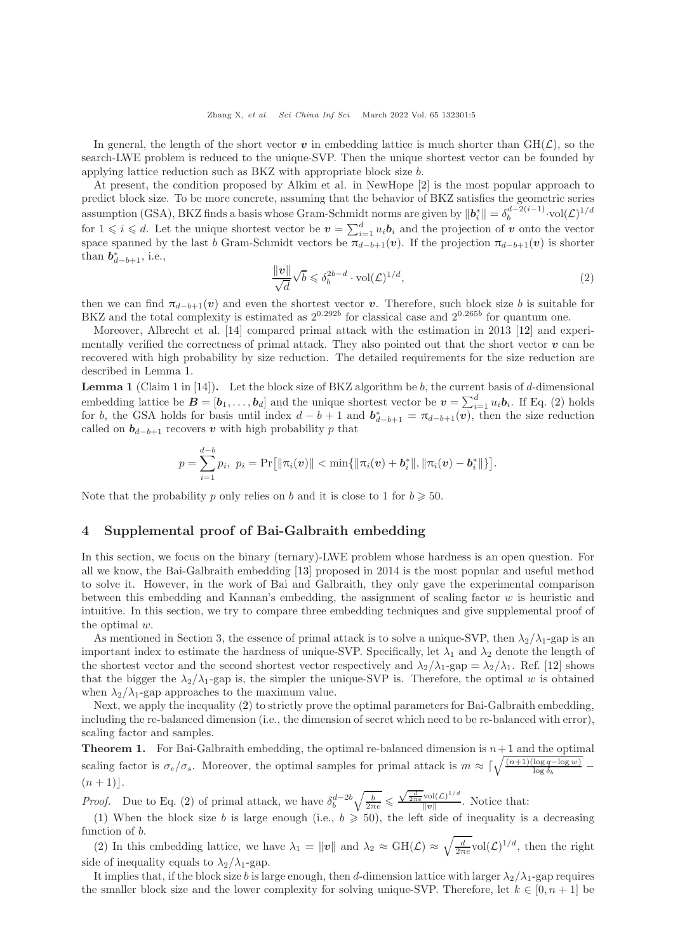In general, the length of the short vector v in embedding lattice is much shorter than  $GH(\mathcal{L})$ , so the search-LWE problem is reduced to the unique-SVP. Then the unique shortest vector can be founded by applying lattice reduction such as BKZ with appropriate block size b.

At present, the condition proposed by Alkim et al. in NewHope [\[2\]](#page-12-1) is the most popular approach to predict block size. To be more concrete, assuming that the behavior of BKZ satisfies the geometric series assumption (GSA), BKZ finds a basis whose Gram-Schmidt norms are given by  $||\boldsymbol{b}_i^*|| = \delta_b^{d-2(i-1)} \cdot \text{vol}(\mathcal{L})^{1/d}$ for  $1 \leq i \leq d$ . Let the unique shortest vector be  $v = \sum_{i=1}^{d} u_i b_i$  and the projection of v onto the vector space spanned by the last b Gram-Schmidt vectors be  $\pi_{d-b+1}(v)$ . If the projection  $\pi_{d-b+1}(v)$  is shorter than  $b_{d-b+1}^*$ , i.e.,

<span id="page-4-1"></span>
$$
\frac{\|\mathbf{v}\|}{\sqrt{d}}\sqrt{b} \leq \delta_b^{2b-d} \cdot \text{vol}(\mathcal{L})^{1/d},\tag{2}
$$

then we can find  $\pi_{d-b+1}(v)$  and even the shortest vector v. Therefore, such block size b is suitable for BKZ and the total complexity is estimated as  $2^{0.292b}$  for classical case and  $2^{0.265b}$  for quantum one.

Moreover, Albrecht et al. [\[14\]](#page-13-3) compared primal attack with the estimation in 2013 [\[12\]](#page-13-1) and experimentally verified the correctness of primal attack. They also pointed out that the short vector  $v$  can be recovered with high probability by size reduction. The detailed requirements for the size reduction are described in Lemma [1.](#page-4-0)

<span id="page-4-0"></span>**Lemma 1** (Claim 1 in [\[14\]](#page-13-3)). Let the block size of BKZ algorithm be b, the current basis of d-dimensional embedding lattice be  $B = [b_1, \ldots, b_d]$  and the unique shortest vector be  $v = \sum_{i=1}^d u_i b_i$ . If Eq. [\(2\)](#page-4-1) holds for b, the GSA holds for basis until index  $d - b + 1$  and  $b_{d-b+1}^* = \pi_{d-b+1}(\vec{v})$ , then the size reduction called on  $b_{d-b+1}$  recovers v with high probability p that

$$
p = \sum_{i=1}^{d-b} p_i, \ p_i = \Pr[\|\pi_i(\boldsymbol{v})\| < \min\{\|\pi_i(\boldsymbol{v}) + \boldsymbol{b}_i^*\|, \|\pi_i(\boldsymbol{v}) - \boldsymbol{b}_i^*\|\}].
$$

Note that the probability p only relies on b and it is close to 1 for  $b \geq 50$ .

## 4 Supplemental proof of Bai-Galbraith embedding

In this section, we focus on the binary (ternary)-LWE problem whose hardness is an open question. For all we know, the Bai-Galbraith embedding [\[13\]](#page-13-2) proposed in 2014 is the most popular and useful method to solve it. However, in the work of Bai and Galbraith, they only gave the experimental comparison between this embedding and Kannan's embedding, the assignment of scaling factor w is heuristic and intuitive. In this section, we try to compare three embedding techniques and give supplemental proof of the optimal w.

As mentioned in Section 3, the essence of primal attack is to solve a unique-SVP, then  $\lambda_2/\lambda_1$ -gap is an important index to estimate the hardness of unique-SVP. Specifically, let  $\lambda_1$  and  $\lambda_2$  denote the length of the shortest vector and the second shortest vector respectively and  $\lambda_2/\lambda_1$ -gap =  $\lambda_2/\lambda_1$ . Ref. [\[12\]](#page-13-1) shows that the bigger the  $\lambda_2/\lambda_1$ -gap is, the simpler the unique-SVP is. Therefore, the optimal w is obtained when  $\lambda_2/\lambda_1$ -gap approaches to the maximum value.

Next, we apply the inequality [\(2\)](#page-4-1) to strictly prove the optimal parameters for Bai-Galbraith embedding, including the re-balanced dimension (i.e., the dimension of secret which need to be re-balanced with error), scaling factor and samples.

**Theorem 1.** For Bai-Galbraith embedding, the optimal re-balanced dimension is  $n+1$  and the optimal scaling factor is  $\sigma_e/\sigma_s$ . Moreover, the optimal samples for primal attack is  $m \approx \lceil \sqrt{\frac{(n+1)(\log q - \log w)}{\log \delta_b}} - \frac{\log q - \log w}{\log \delta_b} \rceil$  $(n+1)$ .

*Proof.* Due to Eq. [\(2\)](#page-4-1) of primal attack, we have  $\delta_b^{d-2b}$  $\sqrt{\frac{b}{2\pi e}} \leqslant$  $\sqrt{\frac{d}{2\pi e}} \text{vol}(\mathcal{L})^{1/d}$  $\frac{\text{vol}(\mathcal{L})}{\|\mathbf{v}\|}$ . Notice that:

(1) When the block size b is large enough (i.e.,  $b \ge 50$ ), the left side of inequality is a decreasing function of b.

(2) In this embedding lattice, we have  $\lambda_1 = ||v||$  and  $\lambda_2 \approx \text{GH}(\mathcal{L}) \approx \sqrt{\frac{d}{2\pi e}} \text{vol}(\mathcal{L})^{1/d}$ , then the right side of inequality equals to  $\lambda_2/\lambda_1$ -gap.

It implies that, if the block size b is large enough, then d-dimension lattice with larger  $\lambda_2/\lambda_1$ -gap requires the smaller block size and the lower complexity for solving unique-SVP. Therefore, let  $k \in [0, n+1]$  be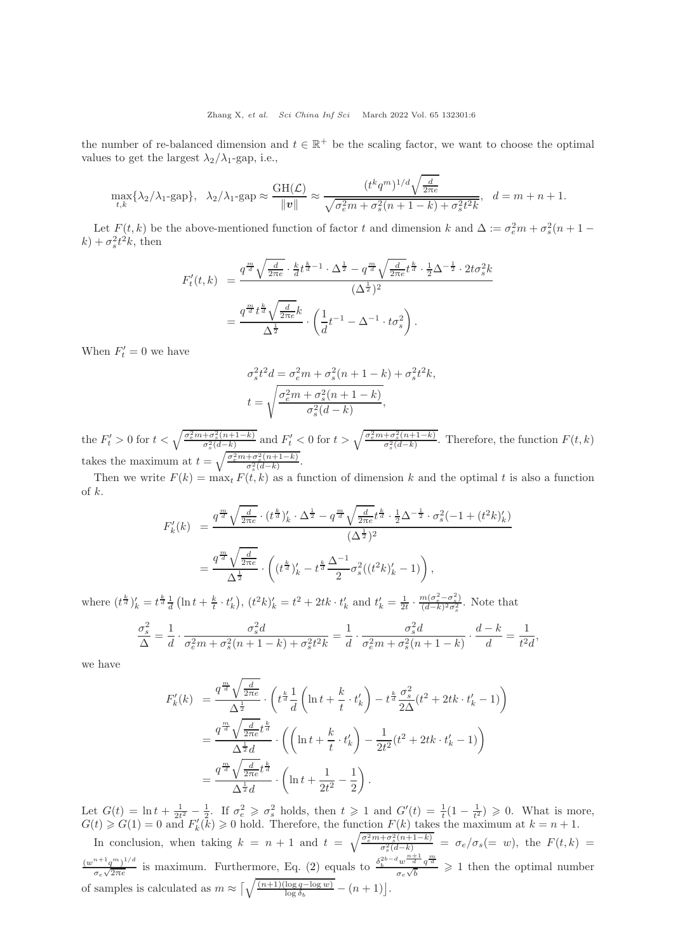the number of re-balanced dimension and  $t \in \mathbb{R}^+$  be the scaling factor, we want to choose the optimal values to get the largest  $\lambda_2/\lambda_1$ -gap, i.e.,

$$
\max_{t,k} \{\lambda_2/\lambda_1 - \text{gap}\}, \quad \lambda_2/\lambda_1 - \text{gap} \approx \frac{\text{GH}(\mathcal{L})}{\|\mathbf{v}\|} \approx \frac{(t^k q^m)^{1/d} \sqrt{\frac{d}{2\pi e}}}{\sqrt{\sigma_e^2 m + \sigma_s^2 (n+1-k) + \sigma_s^2 t^2 k}}, \quad d = m+n+1.
$$

Let  $F(t, k)$  be the above-mentioned function of factor t and dimension k and  $\Delta := \sigma_e^2 m + \sigma_s^2 (n + 1 (k) + \sigma_s^2 t^2 k$ , then

$$
F'_{t}(t,k) = \frac{q^{\frac{m}{d}} \sqrt{\frac{d}{2\pi e}} \cdot \frac{k}{d} t^{\frac{k}{d}-1} \cdot \Delta^{\frac{1}{2}} - q^{\frac{m}{d}} \sqrt{\frac{d}{2\pi e}} t^{\frac{k}{d}} \cdot \frac{1}{2} \Delta^{-\frac{1}{2}} \cdot 2t\sigma_{s}^{2} k}{(\Delta^{\frac{1}{2}})^{2}}
$$

$$
= \frac{q^{\frac{m}{d}} t^{\frac{k}{d}} \sqrt{\frac{d}{2\pi e}} k}{\Delta^{\frac{1}{2}}} \cdot \left(\frac{1}{d} t^{-1} - \Delta^{-1} \cdot t\sigma_{s}^{2}\right).
$$

When  $F'_t = 0$  we have

$$
\begin{aligned} \sigma_s^2t^2d &= \sigma_e^2m + \sigma_s^2(n+1-k) + \sigma_s^2t^2k, \\ t &= \sqrt{\frac{\sigma_e^2m + \sigma_s^2(n+1-k)}{\sigma_s^2(d-k)}}, \end{aligned}
$$

the  $F'_t > 0$  for  $t < \sqrt{\frac{\sigma_e^2 m + \sigma_s^2 (n+1-k)}{\sigma_s^2 (d-k)}}$  and  $F'_t < 0$  for  $t > \sqrt{\frac{\sigma_e^2 m + \sigma_s^2 (n+1-k)}{\sigma_s^2 (d-k)}}$ . Therefore, the function  $F(t, k)$ takes the maximum at  $t = \sqrt{\frac{\sigma_e^2 m + \sigma_s^2 (n+1-k)}{\sigma_s^2 (d-k)}}$ .

Then we write  $F(k) = \max_t F(t, k)$  as a function of dimension k and the optimal t is also a function of k.

$$
F'_{k}(k) = \frac{q^{\frac{m}{d}} \sqrt{\frac{d}{2\pi e}} \cdot (t^{\frac{k}{d}})'_{k} \cdot \Delta^{\frac{1}{2}} - q^{\frac{m}{d}} \sqrt{\frac{d}{2\pi e}} t^{\frac{k}{d}} \cdot \frac{1}{2} \Delta^{-\frac{1}{2}} \cdot \sigma_{s}^{2} (-1 + (t^{2}k)'_{k})}{(\Delta^{\frac{1}{2}})^{2}}
$$

$$
= \frac{q^{\frac{m}{d}} \sqrt{\frac{d}{2\pi e}}}{\Delta^{\frac{1}{2}}} \cdot \left( (t^{\frac{k}{d}})'_{k} - t^{\frac{k}{d}} \frac{\Delta^{-1}}{2} \sigma_{s}^{2} ((t^{2}k)'_{k} - 1) \right),
$$

where  $(t^{\frac{k}{d}})'_k = t^{\frac{k}{d}} \frac{1}{d} \left( \ln t + \frac{k}{t} \cdot t'_k \right)$ ,  $(t^2 k)'_k = t^2 + 2tk \cdot t'_k$  and  $t'_k = \frac{1}{2t} \cdot \frac{m(\sigma_e^2 - \sigma_s^2)}{(d-k)^2 \sigma_s^2}$  $\frac{m(\sigma_e - \sigma_s)}{(d-k)^2 \sigma_s^2}$ . Note that

$$
\frac{\sigma_s^2}{\Delta} = \frac{1}{d} \cdot \frac{\sigma_s^2 d}{\sigma_e^2 m + \sigma_s^2 (n+1-k) + \sigma_s^2 t^2 k} = \frac{1}{d} \cdot \frac{\sigma_s^2 d}{\sigma_e^2 m + \sigma_s^2 (n+1-k)} \cdot \frac{d-k}{d} = \frac{1}{t^2 d},
$$

we have

$$
F'_{k}(k) = \frac{q^{\frac{m}{d}}\sqrt{\frac{d}{2\pi e}}}{\Delta^{\frac{1}{2}}} \cdot \left(t^{\frac{k}{d}}\frac{1}{d}\left(\ln t + \frac{k}{t} \cdot t'_{k}\right) - t^{\frac{k}{d}}\frac{\sigma_{s}^{2}}{2\Delta}(t^{2} + 2tk \cdot t'_{k} - 1)\right)
$$
  

$$
= \frac{q^{\frac{m}{d}}\sqrt{\frac{d}{2\pi e}}t^{\frac{k}{d}}}{\Delta^{\frac{1}{2}}d} \cdot \left(\left(\ln t + \frac{k}{t} \cdot t'_{k}\right) - \frac{1}{2t^{2}}(t^{2} + 2tk \cdot t'_{k} - 1)\right)
$$
  

$$
= \frac{q^{\frac{m}{d}}\sqrt{\frac{d}{2\pi e}}t^{\frac{k}{d}}}{\Delta^{\frac{1}{2}}d} \cdot \left(\ln t + \frac{1}{2t^{2}} - \frac{1}{2}\right).
$$

Let  $G(t) = \ln t + \frac{1}{2t^2} - \frac{1}{2}$ . If  $\sigma_e^2 \geq \sigma_s^2$  holds, then  $t \geq 1$  and  $G'(t) = \frac{1}{t}(1 - \frac{1}{t^2}) \geq 0$ . What is more,  $G(t) \geq G(1) = 0$  and  $F'_k(k) \geq 0$  hold. Therefore, the function  $F(k)$  takes the maximum at  $k = n + 1$ .

In conclusion, when taking  $k = n + 1$  and  $t = \sqrt{\frac{\sigma_e^2 m + \sigma_s^2(n+1-k)}{\sigma_s^2(d-k)}} = \sigma_e/\sigma_s (= w)$ , the  $F(t, k) =$  $(w^{n+1}q^m)^{1/d}$  $\frac{m+1}{{\sigma}e^{\sqrt{2\pi e}}}$  is maximum. Furthermore, Eq. [\(2\)](#page-4-1) equals to  $\frac{{\delta}_b^{2b-d}w^{\frac{m+1}d}q^{\frac{m}d}}{\sigma_e\sqrt{b}}$  $\frac{w-a}{\sigma_e\sqrt{b}}\neq 1$  then the optimal number of samples is calculated as  $m \approx \left\lceil \sqrt{\frac{(n+1)(\log q - \log w)}{\log \delta_b}} - (n+1) \right\rfloor$ .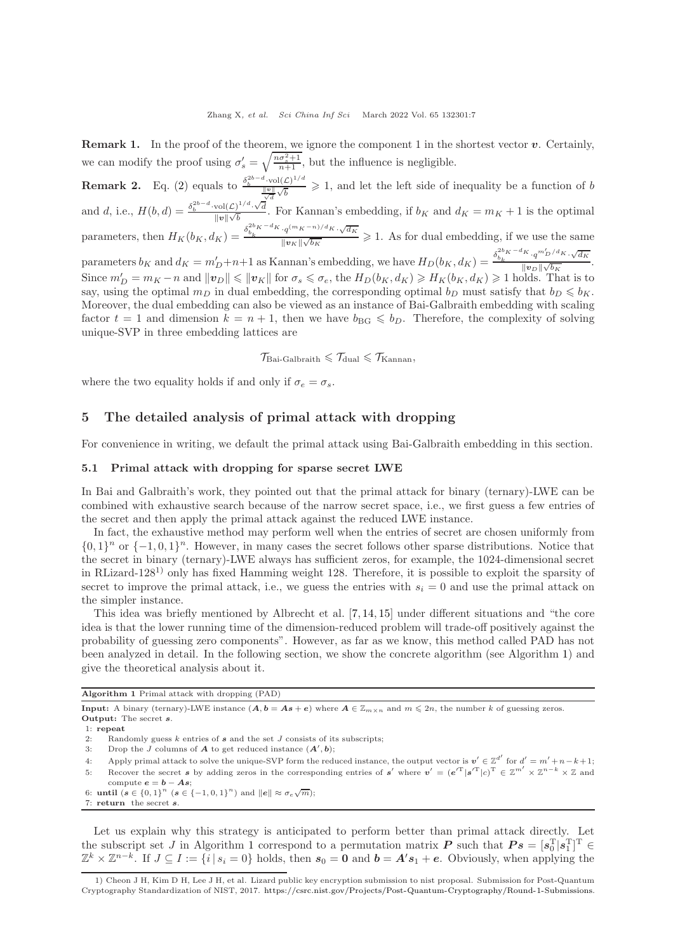**Remark 1.** In the proof of the theorem, we ignore the component 1 in the shortest vector  $v$ . Certainly, we can modify the proof using  $\sigma'_{s} = \sqrt{\frac{n\sigma_{s}^{2}+1}{n+1}}$ , but the influence is negligible. **Remark 2.** Eq. [\(2\)](#page-4-1) equals to  $\frac{\delta_b^{2b-d} \cdot \text{vol}(\mathcal{L})^{1/d}}{\|\mathbf{v}\| \cdot \mathcal{L}}$  $\frac{\log|\mathbf{v}|}{\sqrt{d}}$  > 1, and let the left side of inequality be a function of b

and d, i.e.,  $H(b,d) = \frac{\delta_b^{2b-d} \cdot \text{vol}(\mathcal{L})^{1/d} \cdot \sqrt{d}}{\ln\left|\mathcal{L}\right|}$  $\frac{\partial u(t)}{\Vert v \Vert \sqrt{b}}$ . For Kannan's embedding, if  $b_K$  and  $d_K = m_K + 1$  is the optimal parameters, then  $H_K(b_K, d_K) = \frac{\delta_{b_k}^{2b_K - d_K} q^{(m_K - n)/d_K} \cdot \sqrt{d_K}}{\|q_K\| \cdot \sqrt{d_K}}$  $\frac{\sqrt{v_{\mu}}}{\sqrt{v_{\mu}}/\sqrt{b_K}} \geq 1$ . As for dual embedding, if we use the same parameters  $b_K$  and  $d_K = m'_D+n+1$  as Kannan's embedding, we have  $H_D(b_K, d_K) = \frac{\delta_{b_K}^{2b_K-d_K} \cdot q^{m'_D/d_K} \cdot \sqrt{d_K}}{\|v_D\| \sqrt{b_K}}$  $m'$  $\frac{1}{\|v_D\|\sqrt{b_K}}$ . Since  $m'_D = m_K - n$  and  $||\boldsymbol{v}_D|| \le ||\boldsymbol{v}_K||$  for  $\sigma_s \le \sigma_e$ , the  $H_D(b_K, d_K) \ge H_K(b_K, d_K) \ge 1$  holds. That is to say, using the optimal  $m_D$  in dual embedding, the corresponding optimal  $b_D$  must satisfy that  $b_D \leqslant b_K$ . Moreover, the dual embedding can also be viewed as an instance of Bai-Galbraith embedding with scaling factor  $t = 1$  and dimension  $k = n + 1$ , then we have  $b_{BG} \leq b_D$ . Therefore, the complexity of solving

 $\mathcal{T}_{\text{Bai-Galbraith}} \leqslant \mathcal{T}_{\text{dual}} \leqslant \mathcal{T}_{\text{Kannan}}$ 

where the two equality holds if and only if  $\sigma_e = \sigma_s$ .

unique-SVP in three embedding lattices are

## 5 The detailed analysis of primal attack with dropping

For convenience in writing, we default the primal attack using Bai-Galbraith embedding in this section.

## 5.1 Primal attack with dropping for sparse secret LWE

In Bai and Galbraith's work, they pointed out that the primal attack for binary (ternary)-LWE can be combined with exhaustive search because of the narrow secret space, i.e., we first guess a few entries of the secret and then apply the primal attack against the reduced LWE instance.

In fact, the exhaustive method may perform well when the entries of secret are chosen uniformly from  ${0,1}^n$  or  ${-1,0,1}^n$ . However, in many cases the secret follows other sparse distributions. Notice that the secret in binary (ternary)-LWE always has sufficient zeros, for example, the 1024-dimensional secret in RLizard-128<sup>1</sup>) only has fixed Hamming weight 128. Therefore, it is possible to exploit the sparsity of secret to improve the primal attack, i.e., we guess the entries with  $s_i = 0$  and use the primal attack on the simpler instance.

This idea was briefly mentioned by Albrecht et al. [\[7,](#page-12-6) [14,](#page-13-3) [15\]](#page-13-4) under different situations and "the core idea is that the lower running time of the dimension-reduced problem will trade-off positively against the probability of guessing zero components". However, as far as we know, this method called PAD has not been analyzed in detail. In the following section, we show the concrete algorithm (see Algorithm [1\)](#page-6-0) and give the theoretical analysis about it.

<span id="page-6-0"></span>Algorithm 1 Primal attack with dropping (PAD)

**Input:** A binary (ternary)-LWE instance  $(A, b = As + e)$  where  $A \in \mathbb{Z}_{m \times n}$  and  $m \leq 2n$ , the number k of guessing zeros. Output: The secret s.

6: **until**  $(s \in \{0, 1\}^n \ (s \in \{-1, 0, 1\}^n)$  and  $||e|| \approx \sigma_e \sqrt{m}$ ; 7: return the secret s.

Let us explain why this strategy is anticipated to perform better than primal attack directly. Let the subscript set J in Algorithm [1](#page-6-0) correspond to a permutation matrix  $\boldsymbol{P}$  such that  $\boldsymbol{P} \boldsymbol{s} = [\boldsymbol{s}_0^{\mathrm{T}} | \boldsymbol{s}_1^{\mathrm{T}}]^{\mathrm{T}} \in \mathbb{R}$  $\mathbb{Z}^k \times \mathbb{Z}^{n-k}$ . If  $J \subseteq I := \{i \mid s_i = 0\}$  holds, then  $s_0 = 0$  and  $b = A's_1 + e$ . Obviously, when applying the

<sup>1:</sup> repeat

<sup>2:</sup> Randomly guess k entries of s and the set J consists of its subscripts;<br>3: Drop the J columns of A to get reduced instance  $(A', b)$ ;

<sup>3:</sup> Drop the J columns of **A** to get reduced instance  $(A', b)$ ;

<sup>4:</sup> Apply primal attack to solve the unique-SVP form the reduced instance, the output vector is  $v' \in \mathbb{Z}^{d'}$  for  $d' = m' + n - k + 1$ ;

<sup>5:</sup> Recover the secret s by adding zeros in the corresponding entries of s' where  $v' = (e^{T} | s'^T | c)^T \in \mathbb{Z}^{m'} \times \mathbb{Z}^{n-k} \times \mathbb{Z}$  and compute  $e = b - As$ ;

<sup>1)</sup> Cheon J H, Kim D H, Lee J H, et al. Lizard public key encryption submission to nist proposal. Submission for Post-Quantum Cryptography Standardization of NIST, 2017. [https://csrc.nist.gov/Projects/Post-Quantum-Cryptography/Round-1-Submissions.](https://csrc.nist.gov/Projects/Post-Quantum-Cryptography/Round-1-Submissions)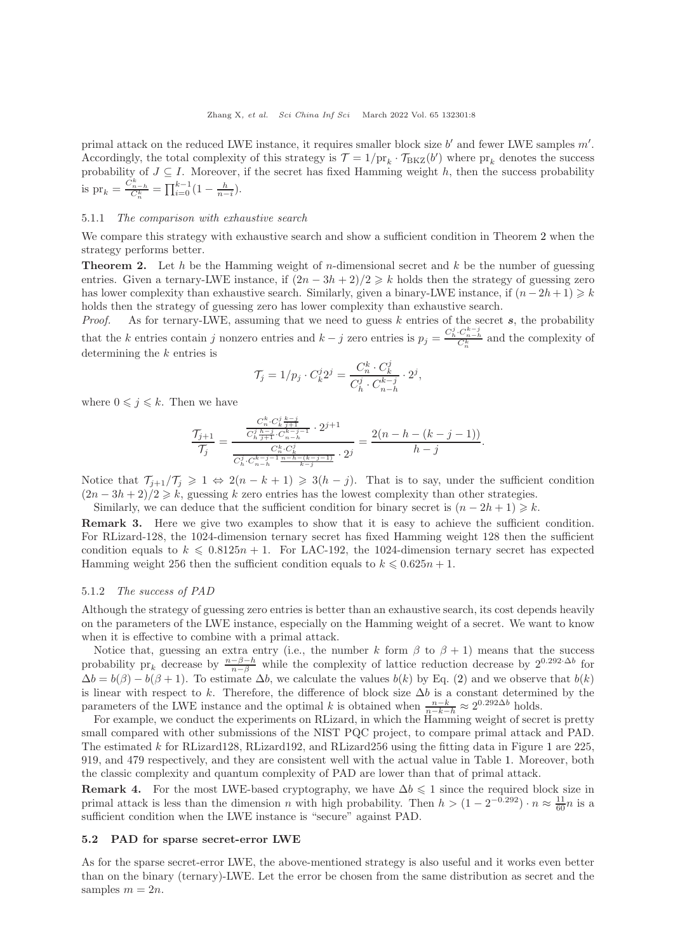primal attack on the reduced LWE instance, it requires smaller block size  $b'$  and fewer LWE samples  $m'$ . Accordingly, the total complexity of this strategy is  $\mathcal{T} = 1/\text{pr}_k \cdot \mathcal{T}_{BKZ}(b')$  where  $\text{pr}_k$  denotes the success probability of  $J \subseteq I$ . Moreover, if the secret has fixed Hamming weight h, then the success probability is  $pr_k = \frac{C_{n-h}^k}{C_n^k} = \prod_{i=0}^{k-1} (1 - \frac{h}{n-i}).$ 

## 5.1.1 The comparison with exhaustive search

We compare this strategy with exhaustive search and show a sufficient condition in Theorem [2](#page-7-0) when the strategy performs better.

<span id="page-7-0"></span>**Theorem 2.** Let h be the Hamming weight of n-dimensional secret and  $k$  be the number of guessing entries. Given a ternary-LWE instance, if  $(2n - 3h + 2)/2 \ge k$  holds then the strategy of guessing zero has lower complexity than exhaustive search. Similarly, given a binary-LWE instance, if  $(n - 2h + 1) \geq k$ holds then the strategy of guessing zero has lower complexity than exhaustive search.

*Proof.* As for ternary-LWE, assuming that we need to guess  $k$  entries of the secret  $s$ , the probability that the k entries contain j nonzero entries and  $k-j$  zero entries is  $p_j = \frac{C_h^j \cdot C_{n-j}^{k-j}}{C_h^k}$  and the complexity of determining the k entries is

$$
\mathcal{T}_j = 1/p_j \cdot C_k^j 2^j = \frac{C_n^k \cdot C_k^j}{C_n^j \cdot C_{n-h}^{k-j}} \cdot 2^j,
$$

where  $0 \leq j \leq k$ . Then we have

$$
\frac{\mathcal{T}_{j+1}}{\mathcal{T}_j} = \frac{\frac{C_n^k \cdot C_k^j \frac{k-j}{j+1}}{C_n^j \frac{h-j}{j+1} \cdot C_{n-h}^{k-j-1}} \cdot 2^{j+1}}{\frac{C_n^k \cdot C_k^j}{C_n^j \cdot C_{n-j}^{k-j} \frac{n-h-(k-j-1)}{k-j}} \cdot 2^j} = \frac{2(n-h-(k-j-1))}{h-j}.
$$

Notice that  $\mathcal{T}_{j+1}/\mathcal{T}_j \geq 1 \Leftrightarrow 2(n-k+1) \geq 3(h-j)$ . That is to say, under the sufficient condition  $(2n-3h+2)/2 \geq k$ , guessing k zero entries has the lowest complexity than other strategies.

Similarly, we can deduce that the sufficient condition for binary secret is  $(n-2h+1) \geq k$ .

Remark 3. Here we give two examples to show that it is easy to achieve the sufficient condition. For RLizard-128, the 1024-dimension ternary secret has fixed Hamming weight 128 then the sufficient condition equals to  $k \leq 0.8125n + 1$ . For LAC-192, the 1024-dimension ternary secret has expected Hamming weight 256 then the sufficient condition equals to  $k \leq 0.625n + 1$ .

### 5.1.2 The success of PAD

Although the strategy of guessing zero entries is better than an exhaustive search, its cost depends heavily on the parameters of the LWE instance, especially on the Hamming weight of a secret. We want to know when it is effective to combine with a primal attack.

Notice that, guessing an extra entry (i.e., the number k form  $\beta$  to  $\beta + 1$ ) means that the success probability pr<sub>k</sub> decrease by  $\frac{n-\beta-h}{n-\beta}$  while the complexity of lattice reduction decrease by 2<sup>0.292</sup>·<sup>∆b</sup> for  $\Delta b = b(\beta) - b(\beta + 1)$ . To estimate  $\Delta b$ , we calculate the values  $b(k)$  by Eq. [\(2\)](#page-4-1) and we observe that  $b(k)$ is linear with respect to k. Therefore, the difference of block size  $\Delta b$  is a constant determined by the parameters of the LWE instance and the optimal k is obtained when  $\frac{n-k}{n-k-h} \approx 2^{0.292\Delta b}$  holds.

For example, we conduct the experiments on RLizard, in which the Hamming weight of secret is pretty small compared with other submissions of the NIST PQC project, to compare primal attack and PAD. The estimated k for RLizard128, RLizard192, and RLizard256 using the fitting data in Figure [1](#page-8-0) are 225, 919, and 479 respectively, and they are consistent well with the actual value in Table [1.](#page-8-1) Moreover, both the classic complexity and quantum complexity of PAD are lower than that of primal attack.

Remark 4. For the most LWE-based cryptography, we have  $\Delta b \leq 1$  since the required block size in primal attack is less than the dimension n with high probability. Then  $h > (1 - 2^{-0.292}) \cdot n \approx \frac{11}{60}n$  is a sufficient condition when the LWE instance is "secure" against PAD.

#### 5.2 PAD for sparse secret-error LWE

As for the sparse secret-error LWE, the above-mentioned strategy is also useful and it works even better than on the binary (ternary)-LWE. Let the error be chosen from the same distribution as secret and the samples  $m = 2n$ .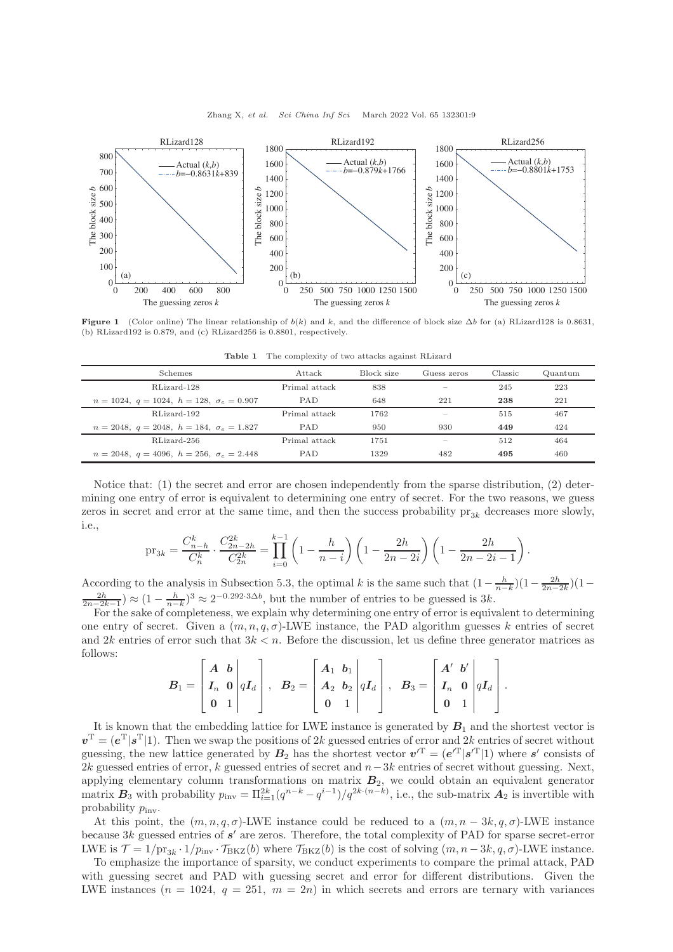

<span id="page-8-0"></span>

<span id="page-8-1"></span>Figure 1 (Color online) The linear relationship of  $b(k)$  and k, and the difference of block size  $\Delta b$  for (a) RLizard128 is 0.8631, (b) RLizard192 is 0.879, and (c) RLizard256 is 0.8801, respectively.

| <b>Schemes</b>                                           | Attack        | Block size | Guess zeros | Classic | Quantum |
|----------------------------------------------------------|---------------|------------|-------------|---------|---------|
| RLizard-128                                              | Primal attack | 838        |             | 245     | 223     |
| $n = 1024, q = 1024, h = 128, \sigma_e = 0.907$          | <b>PAD</b>    | 648        | 221         | 238     | 221     |
| RLizard-192                                              | Primal attack | 1762       |             | 515     | 467     |
| $n = 2048, q = 2048, h = 184, \sigma_e = 1.827$          | <b>PAD</b>    | 950        | 930         | 449     | 424     |
| RLizard-256                                              | Primal attack | 1751       |             | 512     | 464     |
| $n = 2048$ , $q = 4096$ , $h = 256$ , $\sigma_e = 2.448$ | <b>PAD</b>    | 1329       | 482         | 495     | 460     |

Table 1 The complexity of two attacks against RLizard

Notice that: (1) the secret and error are chosen independently from the sparse distribution, (2) determining one entry of error is equivalent to determining one entry of secret. For the two reasons, we guess zeros in secret and error at the same time, and then the success probability  $pr_{3k}$  decreases more slowly, i.e.,

$$
\text{pr}_{3k} = \frac{C_{n-h}^k}{C_n^k} \cdot \frac{C_{2n-2h}^{2k}}{C_{2n}^{2k}} = \prod_{i=0}^{k-1} \left(1 - \frac{h}{n-i}\right) \left(1 - \frac{2h}{2n-2i}\right) \left(1 - \frac{2h}{2n-2i-1}\right)
$$

.

.

According to the analysis in Subsection 5.3, the optimal k is the same such that  $\left(1 - \frac{h}{n-k}\right)\left(1 - \frac{2h}{2n-2k-1}\right) \approx \left(1 - \frac{h}{n-k}\right)^3 \approx 2^{-0.292 \cdot 3\Delta b}$ , but the number of entries to be guessed is 3k.

For the sake of completeness, we explain why determining one entry of error is equivalent to determining one entry of secret. Given a  $(m, n, q, \sigma)$ -LWE instance, the PAD algorithm guesses k entries of secret and 2k entries of error such that  $3k < n$ . Before the discussion, let us define three generator matrices as follows:

$$
B_1=\left[\begin{array}{cc|c}A&b\\I_n&0\\0&1\end{array}\right]qI_d\right],\ \ \, B_2=\left[\begin{array}{cc|c}A_1&b_1\\A_2&b_2\\0&1\end{array}\right]qI_d\right],\ \ \, B_3=\left[\begin{array}{cc|c}A'&b'\\I_n&0\\0&1\end{array}\right]qI_d\right]
$$

It is known that the embedding lattice for LWE instance is generated by  $B_1$  and the shortest vector is  $v^{\mathrm{T}} = (e^{\mathrm{T}} | s^{\mathrm{T}} | 1)$ . Then we swap the positions of 2k guessed entries of error and 2k entries of secret without guessing, the new lattice generated by  $B_2$  has the shortest vector  $v'^T = (e'^T | s'^T | 1)$  where s' consists of 2k guessed entries of error, k guessed entries of secret and  $n-3k$  entries of secret without guessing. Next, applying elementary column transformations on matrix  $B_2$ , we could obtain an equivalent generator matrix  $B_3$  with probability  $p_{\text{inv}} = \prod_{i=1}^{2k} (q^{n-k} - q^{i-1})/q^{2k \cdot (n-k)}$ , i.e., the sub-matrix  $A_2$  is invertible with probability  $p_{\text{inv}}$ .

At this point, the  $(m, n, q, \sigma)$ -LWE instance could be reduced to a  $(m, n - 3k, q, \sigma)$ -LWE instance because  $3k$  guessed entries of  $s'$  are zeros. Therefore, the total complexity of PAD for sparse secret-error LWE is  $\mathcal{T} = 1/\text{pr}_{3k} \cdot 1/p_{\text{inv}} \cdot \mathcal{T}_{BKZ}(b)$  where  $\mathcal{T}_{BKZ}(b)$  is the cost of solving  $(m, n-3k, q, \sigma)$ -LWE instance.

To emphasize the importance of sparsity, we conduct experiments to compare the primal attack, PAD with guessing secret and PAD with guessing secret and error for different distributions. Given the LWE instances  $(n = 1024, q = 251, m = 2n)$  in which secrets and errors are ternary with variances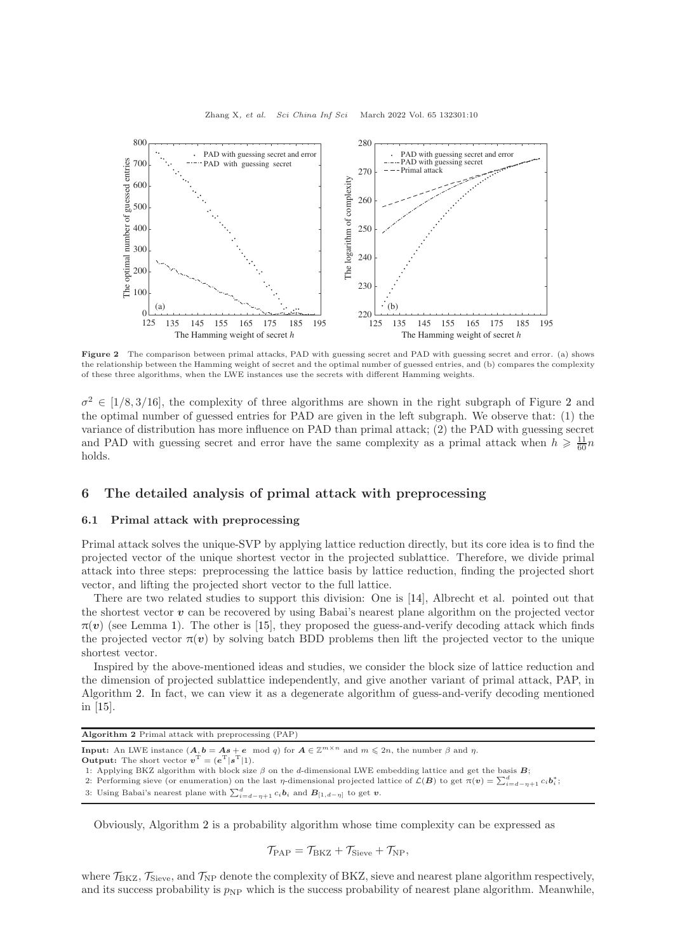<span id="page-9-0"></span>

Figure 2 The comparison between primal attacks, PAD with guessing secret and PAD with guessing secret and error. (a) shows the relationship between the Hamming weight of secret and the optimal number of guessed entries, and (b) compares the complexity of these three algorithms, when the LWE instances use the secrets with different Hamming weights.

 $\sigma^2 \in [1/8, 3/16]$  $\sigma^2 \in [1/8, 3/16]$  $\sigma^2 \in [1/8, 3/16]$ , the complexity of three algorithms are shown in the right subgraph of Figure 2 and the optimal number of guessed entries for PAD are given in the left subgraph. We observe that: (1) the variance of distribution has more influence on PAD than primal attack; (2) the PAD with guessing secret and PAD with guessing secret and error have the same complexity as a primal attack when  $h \geqslant \frac{11}{60}n$ holds.

## 6 The detailed analysis of primal attack with preprocessing

## 6.1 Primal attack with preprocessing

Primal attack solves the unique-SVP by applying lattice reduction directly, but its core idea is to find the projected vector of the unique shortest vector in the projected sublattice. Therefore, we divide primal attack into three steps: preprocessing the lattice basis by lattice reduction, finding the projected short vector, and lifting the projected short vector to the full lattice.

There are two related studies to support this division: One is [\[14\]](#page-13-3), Albrecht et al. pointed out that the shortest vector  $v$  can be recovered by using Babai's nearest plane algorithm on the projected vector  $\pi(v)$  (see Lemma [1\)](#page-4-0). The other is [\[15\]](#page-13-4), they proposed the guess-and-verify decoding attack which finds the projected vector  $\pi(v)$  by solving batch BDD problems then lift the projected vector to the unique shortest vector.

Inspired by the above-mentioned ideas and studies, we consider the block size of lattice reduction and the dimension of projected sublattice independently, and give another variant of primal attack, PAP, in Algorithm [2.](#page-9-1) In fact, we can view it as a degenerate algorithm of guess-and-verify decoding mentioned in [\[15\]](#page-13-4).

<span id="page-9-1"></span>Algorithm 2 Primal attack with preprocessing (PAP)

```
Input: An LWE instance (A, b = As + e \mod q) for A \in \mathbb{Z}^{m \times n} and m \leq 2n, the number \beta and \eta.
```

```
Output: The short vector \mathbf{v}^{\mathrm{T}} = (\mathbf{e}^{\mathrm{T}} | \mathbf{s}^{\mathrm{T}} | 1).
```
1: Applying BKZ algorithm with block size  $\beta$  on the d-dimensional LWE embedding lattice and get the basis  $B$ ;

2: Performing sieve (or enumeration) on the last  $\eta$ -dimensional projected lattice of  $\mathcal{L}(\mathbf{B})$  to get  $\pi(\mathbf{v}) = \sum_{i=d-\eta+1}^{d} c_i \mathbf{b}_i^*$ ;

3: Using Babai's nearest plane with  $\sum_{i=d-\eta+1}^{d} c_i \mathbf{b}_i$  and  $\mathbf{B}_{[1,d-\eta]}$  to get v.

Obviously, Algorithm [2](#page-9-1) is a probability algorithm whose time complexity can be expressed as

 $\mathcal{T}_{\mathrm{PAP}} = \mathcal{T}_{\mathrm{BKZ}} + \mathcal{T}_{\mathrm{Sieve}} + \mathcal{T}_{\mathrm{NP}},$ 

where  $\mathcal{T}_{BKZ}$ ,  $\mathcal{T}_{Sieve}$ , and  $\mathcal{T}_{NP}$  denote the complexity of BKZ, sieve and nearest plane algorithm respectively, and its success probability is  $p_{NP}$  which is the success probability of nearest plane algorithm. Meanwhile,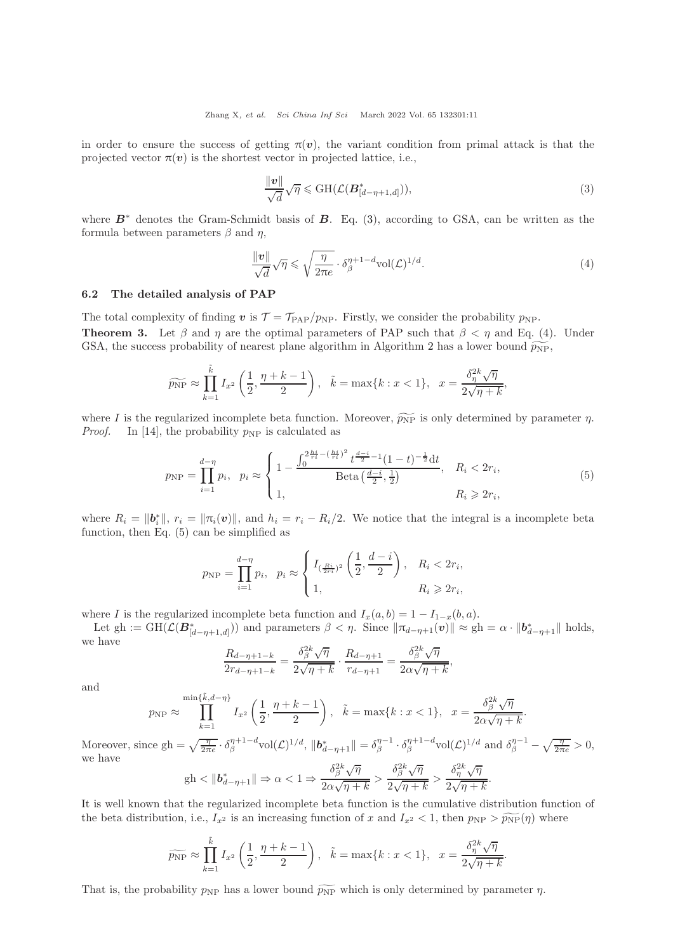in order to ensure the success of getting  $\pi(v)$ , the variant condition from primal attack is that the projected vector  $\pi(v)$  is the shortest vector in projected lattice, i.e.,

<span id="page-10-0"></span>
$$
\frac{\|\mathbf{v}\|}{\sqrt{d}}\sqrt{\eta} \leqslant \mathrm{GH}(\mathcal{L}(\mathbf{B}_{[d-\eta+1,d]}^{*})),\tag{3}
$$

where  $B^*$  denotes the Gram-Schmidt basis of  $B$ . Eq. [\(3\)](#page-10-0), according to GSA, can be written as the formula between parameters  $\beta$  and  $\eta$ ,

<span id="page-10-1"></span>
$$
\frac{\|\mathbf{v}\|}{\sqrt{d}}\sqrt{\eta} \leqslant \sqrt{\frac{\eta}{2\pi e}} \cdot \delta_{\beta}^{\eta+1-d} \text{vol}(\mathcal{L})^{1/d}.
$$
\n
$$
\tag{4}
$$

## 6.2 The detailed analysis of PAP

<span id="page-10-3"></span>The total complexity of finding v is  $\mathcal{T} = \mathcal{T}_{\text{PAP}}/p_{\text{NP}}$ . Firstly, we consider the probability  $p_{\text{NP}}$ . **Theorem 3.** Let  $\beta$  and  $\eta$  are the optimal parameters of PAP such that  $\beta < \eta$  and Eq. [\(4\)](#page-10-1). Under GSA, the success probability of nearest plane algorithm in Algorithm [2](#page-9-1) has a lower bound  $\widetilde{p_{NP}}$ ,

$$
\widetilde{p_{\rm NP}} \approx \prod_{k=1}^{\tilde{k}} I_{x^2} \left( \frac{1}{2}, \frac{\eta + k - 1}{2} \right), \quad \tilde{k} = \max\{k : x < 1\}, \quad x = \frac{\delta_{\eta}^{2k} \sqrt{\eta}}{2\sqrt{\eta + k}},
$$

where I is the regularized incomplete beta function. Moreover,  $\widetilde{p_{NP}}$  is only determined by parameter  $\eta$ . *Proof.* In [\[14\]](#page-13-3), the probability  $p_{NP}$  is calculated as

<span id="page-10-2"></span>
$$
p_{\rm NP} = \prod_{i=1}^{d-\eta} p_i, \quad p_i \approx \begin{cases} 1 - \frac{\int_0^{2\frac{hi}{ri} - \left(\frac{hi}{ri}\right)^2} t^{\frac{d-i}{2} - 1} (1 - t)^{-\frac{1}{2}} dt}{\text{Beta}\left(\frac{d-i}{2}, \frac{1}{2}\right)}, & R_i < 2r_i, \\ 1, & R_i \geqslant 2r_i, \end{cases} \tag{5}
$$

where  $R_i = ||b_i^*||$ ,  $r_i = ||\pi_i(v)||$ , and  $h_i = r_i - R_i/2$ . We notice that the integral is a incomplete beta function, then Eq. [\(5\)](#page-10-2) can be simplified as

$$
p_{\rm NP} = \prod_{i=1}^{d-\eta} p_i, \ \ p_i \approx \begin{cases} I_{(\frac{Ri}{2\tau i})^2} \left( \frac{1}{2}, \frac{d-i}{2} \right), & R_i < 2r_i, \\ 1, & R_i \geqslant 2r_i, \end{cases}
$$

where I is the regularized incomplete beta function and  $I_x(a, b) = 1 - I_{1-x}(b, a)$ .

Let gh :=  $GH(\mathcal{L}(\mathbf{B}_{[d-\eta+1,d]}^*))$  and parameters  $\beta < \eta$ . Since  $\|\pi_{d-\eta+1}(v)\| \approx gh = \alpha \cdot \|b_{d-\eta+1}^*\|$  holds, we have

$$
\frac{R_{d-\eta+1-k}}{2r_{d-\eta+1-k}} = \frac{\delta_\beta^{2k}\sqrt{\eta}}{2\sqrt{\eta+k}} \cdot \frac{R_{d-\eta+1}}{r_{d-\eta+1}} = \frac{\delta_\beta^{2k}\sqrt{\eta}}{2\alpha\sqrt{\eta+k}},
$$

and

$$
p_{\rm NP} \approx \prod_{k=1}^{\min\{\tilde{k},d-\eta\}} I_{x^2} \left(\frac{1}{2},\frac{\eta+k-1}{2}\right), \quad \tilde{k} = \max\{k : x < 1\}, \quad x = \frac{\delta_\beta^{2k}\sqrt{\eta}}{2\alpha\sqrt{\eta+k}}.
$$

Moreover, since  $gh = \sqrt{\frac{\eta}{2\pi e}} \cdot \delta_{\beta}^{\eta+1-d} \text{vol}(\mathcal{L})^{1/d}, \, \| \boldsymbol{b}_{d-\eta+1}^* \| = \delta_{\beta}^{\eta-1} \cdot \delta_{\beta}^{\eta+1-d} \text{vol}(\mathcal{L})^{1/d} \text{ and } \delta_{\beta}^{\eta-1} - \sqrt{\frac{\eta}{2\pi e}} > 0,$ we have

$$
\mathrm{gh} < \|b_{d-\eta+1}^*\| \Rightarrow \alpha < 1 \Rightarrow \frac{\delta_\beta^{2k}\sqrt{\eta}}{2\alpha\sqrt{\eta+k}} > \frac{\delta_\beta^{2k}\sqrt{\eta}}{2\sqrt{\eta+k}} > \frac{\delta_\eta^{2k}\sqrt{\eta}}{2\sqrt{\eta+k}}.
$$

It is well known that the regularized incomplete beta function is the cumulative distribution function of the beta distribution, i.e.,  $I_{x^2}$  is an increasing function of x and  $I_{x^2} < 1$ , then  $p_{\text{NP}} > \widetilde{p_{\text{NP}}}(\eta)$  where

$$
\widetilde{p_{\rm NP}} \approx \prod_{k=1}^{\tilde{k}} I_{x^2} \left( \frac{1}{2}, \frac{\eta + k - 1}{2} \right), \quad \tilde{k} = \max\{k : x < 1\}, \quad x = \frac{\delta_{\eta}^{2k} \sqrt{\eta}}{2\sqrt{\eta + k}}.
$$

That is, the probability  $p_{NP}$  has a lower bound  $\bar{p}_{NP}$  which is only determined by parameter  $\eta$ .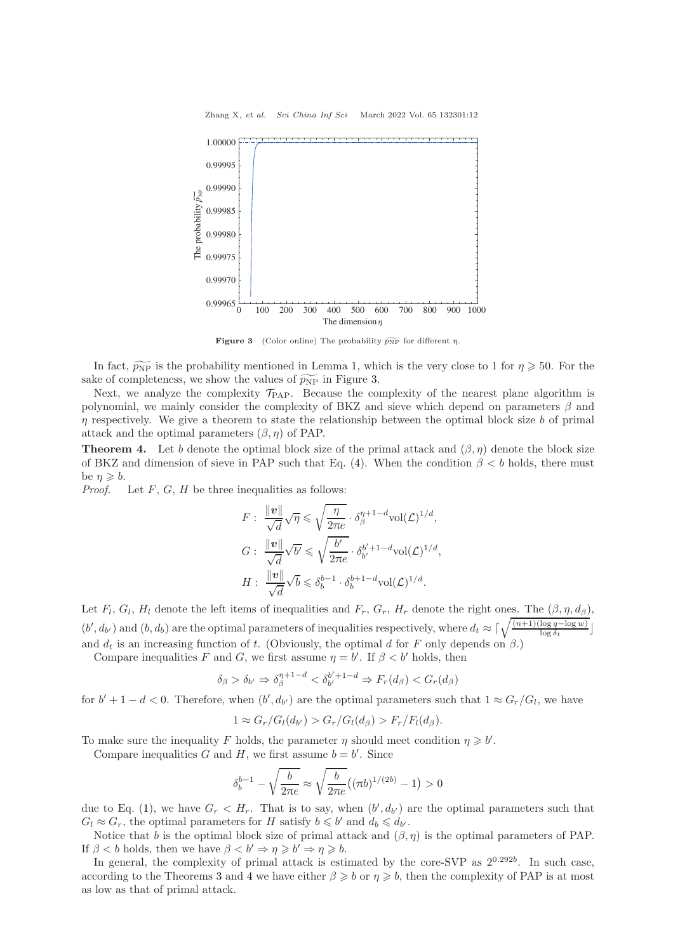<span id="page-11-0"></span>

**Figure 3** (Color online) The probability  $\widetilde{p_{NP}}$  for different  $\eta$ .

In fact,  $\widetilde{p_{NP}}$  is the probability mentioned in Lemma [1,](#page-4-0) which is the very close to 1 for  $\eta \geq 50$ . For the sake of completeness, we show the values of  $\widetilde{p_{NP}}$  in Figure [3.](#page-11-0)

Next, we analyze the complexity  $\mathcal{T}_{\text{PAP}}$ . Because the complexity of the nearest plane algorithm is polynomial, we mainly consider the complexity of BKZ and sieve which depend on parameters  $\beta$  and  $\eta$  respectively. We give a theorem to state the relationship between the optimal block size b of primal attack and the optimal parameters  $(\beta, \eta)$  of PAP.

<span id="page-11-1"></span>**Theorem 4.** Let b denote the optimal block size of the primal attack and  $(\beta, \eta)$  denote the block size of BKZ and dimension of sieve in PAP such that Eq. [\(4\)](#page-10-1). When the condition  $\beta < b$  holds, there must be  $\eta \geqslant b$ .

*Proof.* Let  $F$ ,  $G$ ,  $H$  be three inequalities as follows:

$$
F: \frac{\|\mathbf{v}\|}{\sqrt{d}}\sqrt{\eta} \leq \sqrt{\frac{\eta}{2\pi e}} \cdot \delta_{\beta}^{\eta+1-d} \text{vol}(\mathcal{L})^{1/d},
$$
  

$$
G: \frac{\|\mathbf{v}\|}{\sqrt{d}}\sqrt{b'} \leq \sqrt{\frac{b'}{2\pi e}} \cdot \delta_{b'}^{b'+1-d} \text{vol}(\mathcal{L})^{1/d},
$$
  

$$
H: \frac{\|\mathbf{v}\|}{\sqrt{d}}\sqrt{b} \leq \delta_b^{b-1} \cdot \delta_b^{b+1-d} \text{vol}(\mathcal{L})^{1/d}.
$$

Let  $F_l$ ,  $G_l$ ,  $H_l$  denote the left items of inequalities and  $F_r$ ,  $G_r$ ,  $H_r$  denote the right ones. The  $(\beta, \eta, d_\beta)$ ,  $(b', d_{b'})$  and  $(b, d_b)$  are the optimal parameters of inequalities respectively, where  $d_t \approx \lceil \sqrt{\frac{(n+1)(\log q - \log w)}{\log \delta_t}} \rceil$ and  $d_t$  is an increasing function of t. (Obviously, the optimal d for F only depends on  $\beta$ .)

Compare inequalities F and G, we first assume  $\eta = b'$ . If  $\beta < b'$  holds, then

$$
\delta_{\beta} > \delta_{b'} \Rightarrow \delta_{\beta}^{\eta+1-d} < \delta_{b'}^{b'+1-d} \Rightarrow F_r(d_{\beta}) < G_r(d_{\beta})
$$

for  $b' + 1 - d < 0$ . Therefore, when  $(b', d_{b'})$  are the optimal parameters such that  $1 \approx G_r/G_l$ , we have

$$
1 \approx G_r/G_l(d_{b'}) > G_r/G_l(d_{\beta}) > F_r/F_l(d_{\beta}).
$$

To make sure the inequality F holds, the parameter  $\eta$  should meet condition  $\eta \geqslant b'$ .

Compare inequalities G and H, we first assume  $b = b'$ . Since

$$
\delta_b^{b-1} - \sqrt{\frac{b}{2\pi e}} \approx \sqrt{\frac{b}{2\pi e}} ((\pi b)^{1/(2b)} - 1) > 0
$$

due to Eq. [\(1\)](#page-3-0), we have  $G_r < H_r$ . That is to say, when  $(b', d_{b'})$  are the optimal parameters such that  $G_l \approx G_r$ , the optimal parameters for H satisfy  $b \leq b'$  and  $d_b \leq d_{b'}$ .

Notice that b is the optimal block size of primal attack and  $(\beta, \eta)$  is the optimal parameters of PAP. If  $\beta < b$  holds, then we have  $\beta < b' \Rightarrow \eta \geq b' \Rightarrow \eta \geq b$ .

In general, the complexity of primal attack is estimated by the core-SVP as  $2^{0.292b}$ . In such case, according to the Theorems [3](#page-10-3) and [4](#page-11-1) we have either  $\beta \geq b$  or  $\eta \geq b$ , then the complexity of PAP is at most as low as that of primal attack.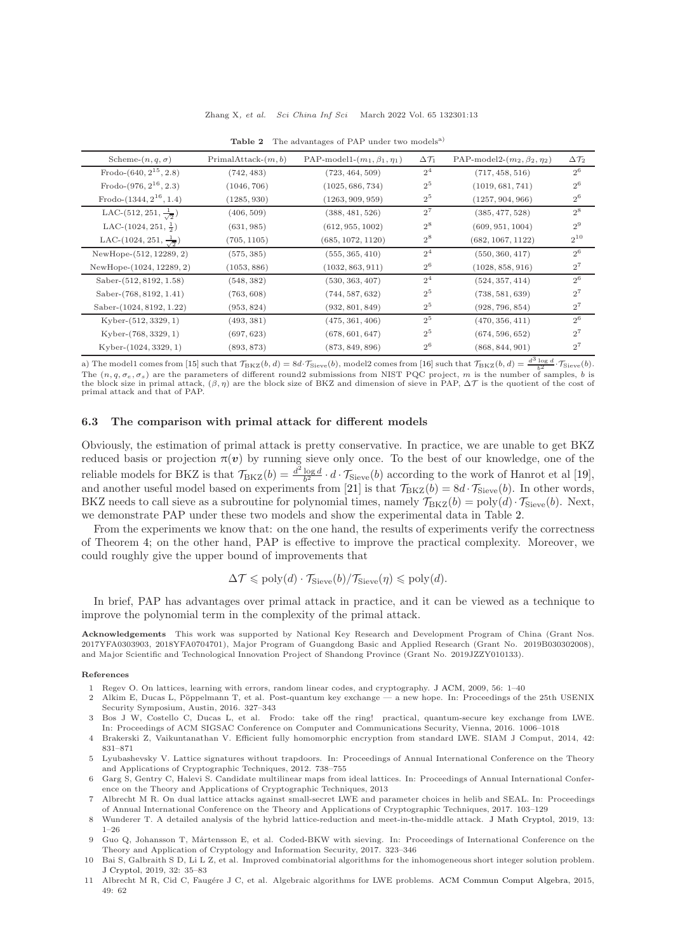<span id="page-12-11"></span>

| Scheme- $(n, q, \sigma)$               | $PrimalAttack-(m, b)$ | PAP-model1- $(m_1, \beta_1, \eta_1)$ | $\Delta \mathcal{T}_1$ | PAP-model2- $(m_2, \beta_2, \eta_2)$ | $\Delta\mathcal{T}_2$ |
|----------------------------------------|-----------------------|--------------------------------------|------------------------|--------------------------------------|-----------------------|
| Frodo- $(640, 2^{15}, 2.8)$            | (742, 483)            | (723, 464, 509)                      | 2 <sup>4</sup>         | (717, 458, 516)                      | $2^6$                 |
| Frodo- $(976, 2^{16}, 2.3)$            | (1046, 706)           | (1025, 686, 734)                     | $2^5$                  | (1019, 681, 741)                     | $2^6$                 |
| Frodo- $(1344, 2^{16}, 1.4)$           | (1285, 930)           | (1263, 909, 959)                     | $2^5$                  | (1257, 904, 966)                     | $2^6$                 |
| LAC- $(512, 251, \frac{1}{\sqrt{2}})$  | (406, 509)            | (388, 481, 526)                      | $2^7$                  | (385, 477, 528)                      | $2^8$                 |
| LAC- $(1024, 251, \frac{1}{2})$        | (631, 985)            | (612, 955, 1002)                     | $2^8$                  | (609, 951, 1004)                     | $2^9$                 |
| LAC- $(1024, 251, \frac{1}{\sqrt{2}})$ | (705, 1105)           | (685, 1072, 1120)                    | $2^8$                  | (682, 1067, 1122)                    | $2^{10}$              |
| NewHope-(512, 12289, 2)                | (575, 385)            | (555, 365, 410)                      | 2 <sup>4</sup>         | (550, 360, 417)                      | $2^6$                 |
| NewHope-(1024, 12289, 2)               | (1053, 886)           | (1032, 863, 911)                     | $2^6$                  | (1028, 858, 916)                     | $2^7$                 |
| Saber-(512, 8192, 1.58)                | (548, 382)            | (530, 363, 407)                      | 2 <sup>4</sup>         | (524, 357, 414)                      | $2^6$                 |
| Saber-(768, 8192, 1.41)                | (763, 608)            | (744, 587, 632)                      | 2 <sup>5</sup>         | (738, 581, 639)                      | $2^7$                 |
| Saber-(1024, 8192, 1.22)               | (953, 824)            | (932, 801, 849)                      | $2^5$                  | (928, 796, 854)                      | $2^7$                 |
| $Kyber-(512,3329,1)$                   | (493, 381)            | (475, 361, 406)                      | 2 <sup>5</sup>         | (470, 356, 411)                      | $2^6$                 |
| Kyber-(768, 3329, 1)                   | (697, 623)            | (678, 601, 647)                      | 2 <sup>5</sup>         | (674, 596, 652)                      | $2^7$                 |
| $Kyber-(1024, 3329, 1)$                | (893, 873)            | (873, 849, 896)                      | $2^6$                  | (868, 844, 901)<br>$-2$ .            | $2^7$                 |

Table 2 The advantages of PAP under two models<sup>a)</sup>

a) The model1 comes from [\[15\]](#page-13-4) such that  $\mathcal{T}_{\text{BKZ}}(b, d) = 8d \cdot \mathcal{T}_{\text{Sieve}}(b)$ , model2 comes from [\[16\]](#page-13-5) such that  $\mathcal{T}_{\text{BKZ}}(b, d) = \frac{d^3 \log d}{b^2} \cdot \mathcal{T}_{\text{Sieve}}(b)$ . The  $(n, q, \sigma_e, \sigma_s)$  are the parameters of different round2 submissions from NIST PQC project, m is the number of samples, b is the block size in primal attack,  $(\beta, \eta)$  are the block size of BKZ and dimension of sieve in PAP,  $\Delta \mathcal{T}$  is the quotient of the cost of primal attack and that of PAP.

## 6.3 The comparison with primal attack for different models

Obviously, the estimation of primal attack is pretty conservative. In practice, we are unable to get BKZ reduced basis or projection  $\pi(v)$  by running sieve only once. To the best of our knowledge, one of the reliable models for BKZ is that  $\mathcal{T}_{BKZ}(b) = \frac{d^2 \log d}{b^2} \cdot d \cdot \mathcal{T}_{Sieve}(b)$  according to the work of Hanrot et al [\[19\]](#page-13-8), and another useful model based on experiments from [\[21\]](#page-13-10) is that  $\mathcal{T}_{BKZ}(b) = 8d \cdot \mathcal{T}_{Sieve}(b)$ . In other words, BKZ needs to call sieve as a subroutine for polynomial times, namely  $\mathcal{T}_{BKZ}(b) = \text{poly}(d) \cdot \mathcal{T}_{Sieve}(b)$ . Next, we demonstrate PAP under these two models and show the experimental data in Table [2.](#page-12-11)

From the experiments we know that: on the one hand, the results of experiments verify the correctness of Theorem [4;](#page-11-1) on the other hand, PAP is effective to improve the practical complexity. Moreover, we could roughly give the upper bound of improvements that

$$
\Delta \mathcal{T} \leqslant \text{poly}(d) \cdot \mathcal{T}_{\text{Sieve}}(b) / \mathcal{T}_{\text{Sieve}}(\eta) \leqslant \text{poly}(d).
$$

In brief, PAP has advantages over primal attack in practice, and it can be viewed as a technique to improve the polynomial term in the complexity of the primal attack.

Acknowledgements This work was supported by National Key Research and Development Program of China (Grant Nos. 2017YFA0303903, 2018YFA0704701), Major Program of Guangdong Basic and Applied Research (Grant No. 2019B030302008), and Major Scientific and Technological Innovation Project of Shandong Province (Grant No. 2019JZZY010133).

#### <span id="page-12-0"></span>References

- <span id="page-12-1"></span>1 Regev O. On lattices, learning with errors, random linear codes, and cryptography. [J ACM,](https://doi.org/10.1145/1568318.1568324) 2009, 56: 1–40
- 2 Alkim E, Ducas L, Pöppelmann T, et al. Post-quantum key exchange a new hope. In: Proceedings of the 25th USENIX Security Symposium, Austin, 2016. 327–343
- <span id="page-12-2"></span>3 Bos J W, Costello C, Ducas L, et al. Frodo: take off the ring! practical, quantum-secure key exchange from LWE. In: Proceedings of ACM SIGSAC Conference on Computer and Communications Security, Vienna, 2016. 1006–1018
- <span id="page-12-3"></span>4 Brakerski Z, Vaikuntanathan V. Efficient fully homomorphic encryption from standard LWE. SIAM J Comput, 2014, 42: 831–871
- <span id="page-12-4"></span>5 Lyubashevsky V. Lattice signatures without trapdoors. In: Proceedings of Annual International Conference on the Theory and Applications of Cryptographic Techniques, 2012. 738–755
- <span id="page-12-5"></span>6 Garg S, Gentry C, Halevi S. Candidate multilinear maps from ideal lattices. In: Proceedings of Annual International Conference on the Theory and Applications of Cryptographic Techniques, 2013
- <span id="page-12-6"></span>7 Albrecht M R. On dual lattice attacks against small-secret LWE and parameter choices in helib and SEAL. In: Proceedings of Annual International Conference on the Theory and Applications of Cryptographic Techniques, 2017. 103–129
- <span id="page-12-7"></span>8 Wunderer T. A detailed analysis of the hybrid lattice-reduction and meet-in-the-middle attack. [J Math Cryptol,](https://doi.org/10.1515/jmc-2016-0044) 2019, 13: 1–26
- <span id="page-12-8"></span>9 Guo Q, Johansson T, M˚artensson E, et al. Coded-BKW with sieving. In: Proceedings of International Conference on the Theory and Application of Cryptology and Information Security, 2017. 323–346
- <span id="page-12-9"></span>10 Bai S, Galbraith S D, Li L Z, et al. Improved combinatorial algorithms for the inhomogeneous short integer solution problem. [J Cryptol,](https://doi.org/10.1007/s00145-018-9304-1) 2019, 32: 35–83
- <span id="page-12-10"></span>11 Albrecht M R, Cid C, Faugére J C, et al. Algebraic algorithms for LWE problems. [ACM Commun Comput Algebra,](https://doi.org/10.1145/2815111.2815158) 2015, 49: 62